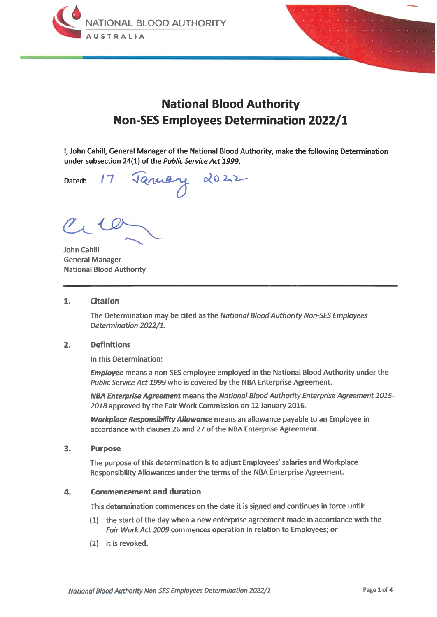



# **National Blood Authority Non-SES Employees Determination 2022/1**

I, John Cahill, General Manager of the National Blood Authority, make the following Determination under subsection 24(1) of the Public Service Act 1999.

Dated:

January 2022

**John Cahill General Manager National Blood Authority** 

#### $\mathbf{1}$ . **Citation**

The Determination may be cited as the National Blood Authority Non-SES Employees Determination 2022/1.

#### $2.$ **Definitions**

In this Determination:

**Employee** means a non-SES employee employed in the National Blood Authority under the Public Service Act 1999 who is covered by the NBA Enterprise Agreement.

NBA Enterprise Agreement means the National Blood Authority Enterprise Agreement 2015-2018 approved by the Fair Work Commission on 12 January 2016.

**Workplace Responsibility Allowance** means an allowance payable to an Employee in accordance with clauses 26 and 27 of the NBA Enterprise Agreement.

#### $3.$ **Purpose**

The purpose of this determination is to adjust Employees' salaries and Workplace Responsibility Allowances under the terms of the NBA Enterprise Agreement.

#### 4. **Commencement and duration**

This determination commences on the date it is signed and continues in force until:

- (1) the start of the day when a new enterprise agreement made in accordance with the Fair Work Act 2009 commences operation in relation to Employees; or
- (2) it is revoked.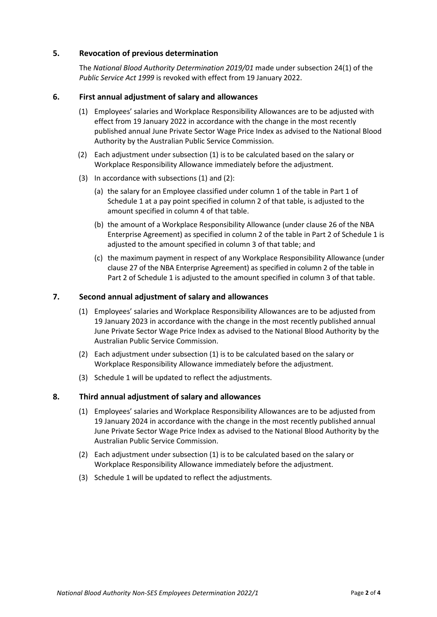### **5. Revocation of previous determination**

The *National Blood Authority Determination 2019/01* made under subsection 24(1) of the *Public Service Act 1999* is revoked with effect from 19 January 2022.

### **6. First annual adjustment of salary and allowances**

- (1) Employees' salaries and Workplace Responsibility Allowances are to be adjusted with effect from 19 January 2022 in accordance with the change in the most recently published annual June Private Sector Wage Price Index as advised to the National Blood Authority by the Australian Public Service Commission.
- (2) Each adjustment under subsection (1) is to be calculated based on the salary or Workplace Responsibility Allowance immediately before the adjustment.
- (3) In accordance with subsections (1) and (2):
	- (a) the salary for an Employee classified under column 1 of the table in Part 1 of Schedule 1 at a pay point specified in column 2 of that table, is adjusted to the amount specified in column 4 of that table.
	- (b) the amount of a Workplace Responsibility Allowance (under clause 26 of the NBA Enterprise Agreement) as specified in column 2 of the table in Part 2 of Schedule 1 is adjusted to the amount specified in column 3 of that table; and
	- (c) the maximum payment in respect of any Workplace Responsibility Allowance (under clause 27 of the NBA Enterprise Agreement) as specified in column 2 of the table in Part 2 of Schedule 1 is adjusted to the amount specified in column 3 of that table.

### **7. Second annual adjustment of salary and allowances**

- (1) Employees' salaries and Workplace Responsibility Allowances are to be adjusted from 19 January 2023 in accordance with the change in the most recently published annual June Private Sector Wage Price Index as advised to the National Blood Authority by the Australian Public Service Commission.
- (2) Each adjustment under subsection (1) is to be calculated based on the salary or Workplace Responsibility Allowance immediately before the adjustment.
- (3) Schedule 1 will be updated to reflect the adjustments.

### **8. Third annual adjustment of salary and allowances**

- (1) Employees' salaries and Workplace Responsibility Allowances are to be adjusted from 19 January 2024 in accordance with the change in the most recently published annual June Private Sector Wage Price Index as advised to the National Blood Authority by the Australian Public Service Commission.
- (2) Each adjustment under subsection (1) is to be calculated based on the salary or Workplace Responsibility Allowance immediately before the adjustment.
- (3) Schedule 1 will be updated to reflect the adjustments.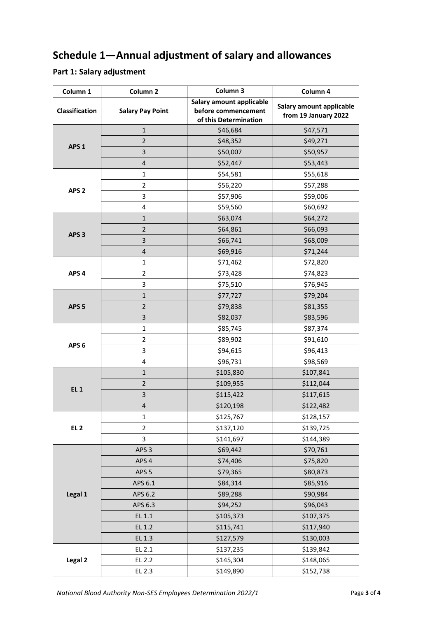# **Schedule 1—Annual adjustment of salary and allowances**

## **Part 1: Salary adjustment**

| Column 1         | Column <sub>2</sub>     | Column 3                                                                 | Column 4                                         |
|------------------|-------------------------|--------------------------------------------------------------------------|--------------------------------------------------|
| Classification   | <b>Salary Pay Point</b> | Salary amount applicable<br>before commencement<br>of this Determination | Salary amount applicable<br>from 19 January 2022 |
| APS <sub>1</sub> | $\mathbf 1$             | \$46,684                                                                 | \$47,571                                         |
|                  | $\mathbf 2$             | \$48,352                                                                 | \$49,271                                         |
|                  | 3                       | \$50,007                                                                 | \$50,957                                         |
|                  | $\overline{\mathbf{4}}$ | \$52,447                                                                 | \$53,443                                         |
| APS <sub>2</sub> | $\mathbf 1$             | \$54,581                                                                 | \$55,618                                         |
|                  | $\overline{2}$          | \$56,220                                                                 | \$57,288                                         |
|                  | 3                       | \$57,906                                                                 | \$59,006                                         |
|                  | 4                       | \$59,560                                                                 | \$60,692                                         |
| APS <sub>3</sub> | $\mathbf 1$             | \$63,074                                                                 | \$64,272                                         |
|                  | $\overline{2}$          | \$64,861                                                                 | \$66,093                                         |
|                  | 3                       | \$66,741                                                                 | \$68,009                                         |
|                  | $\overline{\mathbf{r}}$ | \$69,916                                                                 | \$71,244                                         |
| APS <sub>4</sub> | $\mathbf{1}$            | \$71,462                                                                 | \$72,820                                         |
|                  | $\overline{2}$          | \$73,428                                                                 | \$74,823                                         |
|                  | 3                       | \$75,510                                                                 | \$76,945                                         |
| APS <sub>5</sub> | $\mathbf{1}$            | \$77,727                                                                 | \$79,204                                         |
|                  | $\mathbf 2$             | \$79,838                                                                 | \$81,355                                         |
|                  | 3                       | \$82,037                                                                 | \$83,596                                         |
| APS <sub>6</sub> | $\mathbf{1}$            | \$85,745                                                                 | \$87,374                                         |
|                  | $\overline{2}$          | \$89,902                                                                 | \$91,610                                         |
|                  | 3                       | \$94,615                                                                 | \$96,413                                         |
|                  | 4                       | \$96,731                                                                 | \$98,569                                         |
| <b>EL 1</b>      | $\mathbf 1$             | \$105,830                                                                | \$107,841                                        |
|                  | $\mathbf 2$             | \$109,955                                                                | \$112,044                                        |
|                  | 3                       | \$115,422                                                                | \$117,615                                        |
|                  | $\overline{\mathbf{r}}$ | \$120,198                                                                | \$122,482                                        |
| EL <sub>2</sub>  | 1                       | \$125,767                                                                | \$128,157                                        |
|                  | $\overline{2}$          | \$137,120                                                                | \$139,725                                        |
|                  | 3                       | \$141,697                                                                | \$144,389                                        |
| Legal 1          | APS <sub>3</sub>        | \$69,442                                                                 | \$70,761                                         |
|                  | APS <sub>4</sub>        | \$74,406                                                                 | \$75,820                                         |
|                  | APS <sub>5</sub>        | \$79,365                                                                 | \$80,873                                         |
|                  | APS 6.1                 | \$84,314                                                                 | \$85,916                                         |
|                  | APS 6.2                 | \$89,288                                                                 | \$90,984                                         |
|                  | APS 6.3                 | \$94,252                                                                 | \$96,043                                         |
|                  | EL 1.1                  | \$105,373                                                                | \$107,375                                        |
|                  | EL 1.2                  | \$115,741                                                                | \$117,940                                        |
|                  | EL 1.3                  | \$127,579                                                                | \$130,003                                        |
| Legal 2          | EL 2.1                  | \$137,235                                                                | \$139,842                                        |
|                  | EL 2.2                  | \$145,304                                                                | \$148,065                                        |
|                  | EL 2.3                  | \$149,890                                                                | \$152,738                                        |